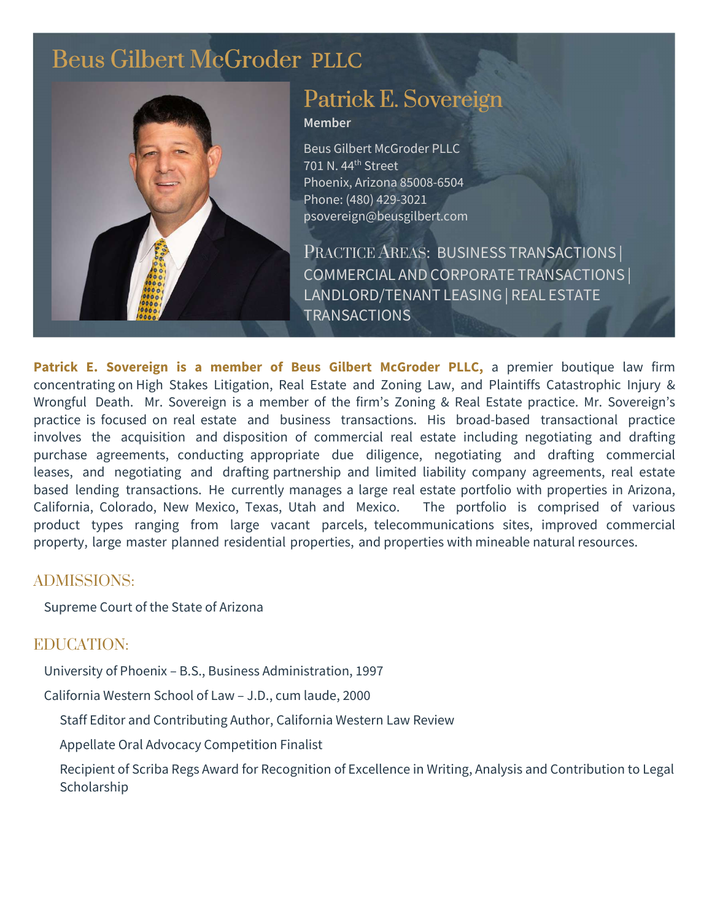# [Beus Gilbert McGroder](https://beusgilbert.com/) PLLC



## [Patrick E. Sovereign](https://beusgilbert.com/team/patrick-sovereign/)

Member

Beus Gilbert McGroder PLLC 701 N. 44<sup>th</sup> Street Phoenix, Arizona 85008-6504 Phone: (480) 429-3021 psovereign@beusgilbert.com

PRACTICE AREAS: BUSINESS TRANSACTIONS | COMMERCIAL AND CORPORATE TRANSACTIONS | LANDLORD/TENANT LEASING| REAL ESTATE TRANSACTIONS

Patrick E. Sovereign is a **member** of Beus Gilbert McGroder **PLLC**, a premier boutique law firm concentrating on High Stakes Litigation, Real Estate and Zoning Law, and Plaintiffs Catastrophic Injury & Wrongful Death. Mr. Sovereign is a member of the firm's Zoning & Real Estate practice. Mr. Sovereign's practice is focused on real estate and business transactions. His broad-based transactional practice involves the acquisition and disposition of commercial real estate including negotiating and drafting purchase agreements, conducting appropriate due diligence, negotiating and drafting commercial leases, and negotiating and drafting partnership and limited liability company agreements, real estate based lending transactions. He currently manages a large real estate portfolio with properties in Arizona, California, Colorado, New Mexico, Texas, Utah and Mexico. The portfolio is comprised of various product types ranging from large vacant parcels, telecommunications sites, improved commercial property, large master planned residential properties, and properties with mineable natural resources.

### ADMISSIONS:

Supreme Court of the State of Arizona

### EDUCATION:

University of Phoenix – B.S., Business Administration, 1997

California Western School of Law – J.D., cum laude, 2000

Staff Editor and Contributing Author, California Western Law Review

Appellate Oral Advocacy Competition Finalist

Recipient of Scriba Regs Award for Recognition of Excellence in Writing, Analysis and Contribution to Legal Scholarship